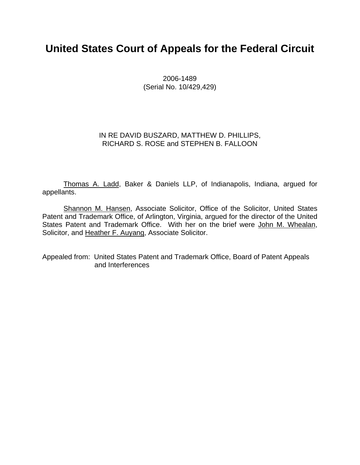## **United States Court of Appeals for the Federal Circuit**

2006-1489 (Serial No. 10/429,429)

### IN RE DAVID BUSZARD, MATTHEW D. PHILLIPS, RICHARD S. ROSE and STEPHEN B. FALLOON

 Thomas A. Ladd, Baker & Daniels LLP, of Indianapolis, Indiana, argued for appellants.

 Shannon M. Hansen, Associate Solicitor, Office of the Solicitor, United States Patent and Trademark Office, of Arlington, Virginia, argued for the director of the United States Patent and Trademark Office. With her on the brief were John M. Whealan, Solicitor, and Heather F. Auyang, Associate Solicitor.

Appealed from: United States Patent and Trademark Office, Board of Patent Appeals and Interferences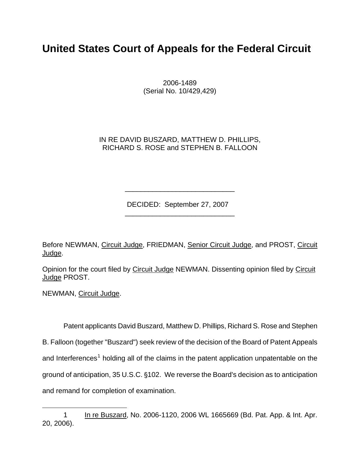# **United States Court of Appeals for the Federal Circuit**

 2006-1489 (Serial No. 10/429,429)

IN RE DAVID BUSZARD, MATTHEW D. PHILLIPS, RICHARD S. ROSE and STEPHEN B. FALLOON

DECIDED: September 27, 2007

 $\frac{1}{\sqrt{2}}$  ,  $\frac{1}{\sqrt{2}}$  ,  $\frac{1}{\sqrt{2}}$  ,  $\frac{1}{\sqrt{2}}$  ,  $\frac{1}{\sqrt{2}}$  ,  $\frac{1}{\sqrt{2}}$  ,  $\frac{1}{\sqrt{2}}$  ,  $\frac{1}{\sqrt{2}}$  ,  $\frac{1}{\sqrt{2}}$  ,  $\frac{1}{\sqrt{2}}$  ,  $\frac{1}{\sqrt{2}}$  ,  $\frac{1}{\sqrt{2}}$  ,  $\frac{1}{\sqrt{2}}$  ,  $\frac{1}{\sqrt{2}}$  ,  $\frac{1}{\sqrt{2}}$ 

 $\frac{1}{\sqrt{2\pi}}$  ,  $\frac{1}{\sqrt{2\pi}}$  ,  $\frac{1}{\sqrt{2\pi}}$  ,  $\frac{1}{\sqrt{2\pi}}$  ,  $\frac{1}{\sqrt{2\pi}}$  ,  $\frac{1}{\sqrt{2\pi}}$  ,  $\frac{1}{\sqrt{2\pi}}$  ,  $\frac{1}{\sqrt{2\pi}}$  ,  $\frac{1}{\sqrt{2\pi}}$  ,  $\frac{1}{\sqrt{2\pi}}$  ,  $\frac{1}{\sqrt{2\pi}}$  ,  $\frac{1}{\sqrt{2\pi}}$  ,  $\frac{1}{\sqrt{2\pi}}$  ,

Before NEWMAN, Circuit Judge, FRIEDMAN, Senior Circuit Judge, and PROST, Circuit Judge.

Opinion for the court filed by Circuit Judge NEWMAN. Dissenting opinion filed by Circuit Judge PROST.

NEWMAN, Circuit Judge.

Patent applicants David Buszard, Matthew D. Phillips, Richard S. Rose and Stephen B. Falloon (together "Buszard") seek review of the decision of the Board of Patent Appeals and Interferences<sup>[1](#page-1-0)</sup> holding all of the claims in the patent application unpatentable on the ground of anticipation, 35 U.S.C. §102. We reverse the Board's decision as to anticipation and remand for completion of examination.

<span id="page-1-0"></span> $\overline{a}$ 1 In re Buszard, No. 2006-1120, 2006 WL 1665669 (Bd. Pat. App. & Int. Apr. 20, 2006).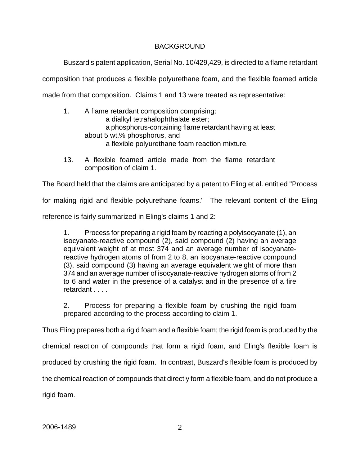## BACKGROUND

Buszard's patent application, Serial No. 10/429,429, is directed to a flame retardant composition that produces a flexible polyurethane foam, and the flexible foamed article made from that composition. Claims 1 and 13 were treated as representative:

- 1. A flame retardant composition comprising: a dialkyl tetrahalophthalate ester; a phosphorus-containing flame retardant having at least about 5 wt.% phosphorus, and a flexible polyurethane foam reaction mixture.
- 13. A flexible foamed article made from the flame retardant composition of claim 1.

The Board held that the claims are anticipated by a patent to Eling et al. entitled "Process

for making rigid and flexible polyurethane foams." The relevant content of the Eling

reference is fairly summarized in Eling's claims 1 and 2:

1. Process for preparing a rigid foam by reacting a polyisocyanate (1), an isocyanate-reactive compound (2), said compound (2) having an average equivalent weight of at most 374 and an average number of isocyanatereactive hydrogen atoms of from 2 to 8, an isocyanate-reactive compound (3), said compound (3) having an average equivalent weight of more than 374 and an average number of isocyanate-reactive hydrogen atoms of from 2 to 6 and water in the presence of a catalyst and in the presence of a fire retardant . . . .

2. Process for preparing a flexible foam by crushing the rigid foam prepared according to the process according to claim 1.

Thus Eling prepares both a rigid foam and a flexible foam; the rigid foam is produced by the

chemical reaction of compounds that form a rigid foam, and Eling's flexible foam is

produced by crushing the rigid foam. In contrast, Buszard's flexible foam is produced by

the chemical reaction of compounds that directly form a flexible foam, and do not produce a

rigid foam.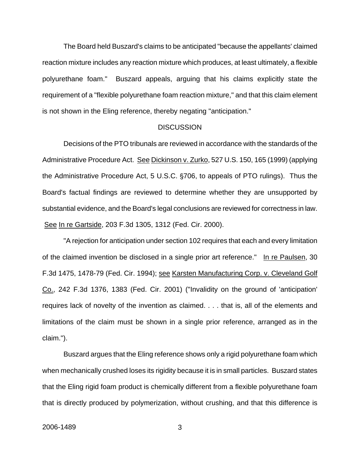The Board held Buszard's claims to be anticipated "because the appellants' claimed reaction mixture includes any reaction mixture which produces, at least ultimately, a flexible polyurethane foam." Buszard appeals, arguing that his claims explicitly state the requirement of a "flexible polyurethane foam reaction mixture," and that this claim element is not shown in the Eling reference, thereby negating "anticipation."

#### **DISCUSSION**

Decisions of the PTO tribunals are reviewed in accordance with the standards of the Administrative Procedure Act. See Dickinson v. Zurko, 527 U.S. 150, 165 (1999) (applying the Administrative Procedure Act, 5 U.S.C. §706, to appeals of PTO rulings). Thus the Board's factual findings are reviewed to determine whether they are unsupported by substantial evidence, and the Board's legal conclusions are reviewed for correctness in law. See In re Gartside, 203 F.3d 1305, 1312 (Fed. Cir. 2000).

"A rejection for anticipation under section 102 requires that each and every limitation of the claimed invention be disclosed in a single prior art reference." In re Paulsen, 30 F.3d 1475, 1478-79 (Fed. Cir. 1994); see Karsten Manufacturing Corp. v. Cleveland Golf Co., 242 F.3d 1376, 1383 (Fed. Cir. 2001) ("Invalidity on the ground of 'anticipation' requires lack of novelty of the invention as claimed. . . . that is, all of the elements and limitations of the claim must be shown in a single prior reference, arranged as in the claim.").

Buszard argues that the Eling reference shows only a rigid polyurethane foam which when mechanically crushed loses its rigidity because it is in small particles. Buszard states that the Eling rigid foam product is chemically different from a flexible polyurethane foam that is directly produced by polymerization, without crushing, and that this difference is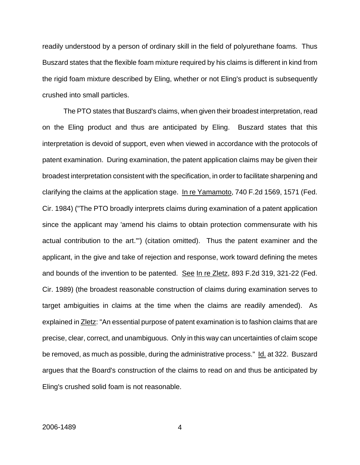readily understood by a person of ordinary skill in the field of polyurethane foams. Thus Buszard states that the flexible foam mixture required by his claims is different in kind from the rigid foam mixture described by Eling, whether or not Eling's product is subsequently crushed into small particles.

The PTO states that Buszard's claims, when given their broadest interpretation, read on the Eling product and thus are anticipated by Eling. Buszard states that this interpretation is devoid of support, even when viewed in accordance with the protocols of patent examination. During examination, the patent application claims may be given their broadest interpretation consistent with the specification, in order to facilitate sharpening and clarifying the claims at the application stage. In re Yamamoto, 740 F.2d 1569, 1571 (Fed. Cir. 1984) ("The PTO broadly interprets claims during examination of a patent application since the applicant may 'amend his claims to obtain protection commensurate with his actual contribution to the art.'") (citation omitted). Thus the patent examiner and the applicant, in the give and take of rejection and response, work toward defining the metes and bounds of the invention to be patented. See In re Zletz, 893 F.2d 319, 321-22 (Fed. Cir. 1989) (the broadest reasonable construction of claims during examination serves to target ambiguities in claims at the time when the claims are readily amended). As explained in Zletz: "An essential purpose of patent examination is to fashion claims that are precise, clear, correct, and unambiguous. Only in this way can uncertainties of claim scope be removed, as much as possible, during the administrative process." Id. at 322. Buszard argues that the Board's construction of the claims to read on and thus be anticipated by Eling's crushed solid foam is not reasonable.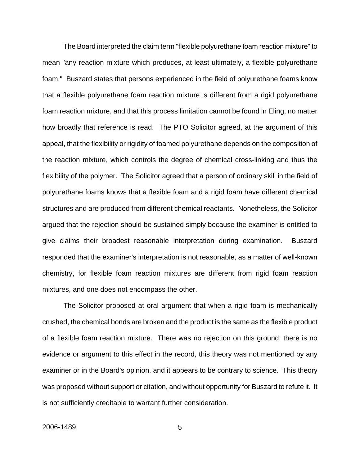The Board interpreted the claim term "flexible polyurethane foam reaction mixture" to mean "any reaction mixture which produces, at least ultimately, a flexible polyurethane foam." Buszard states that persons experienced in the field of polyurethane foams know that a flexible polyurethane foam reaction mixture is different from a rigid polyurethane foam reaction mixture, and that this process limitation cannot be found in Eling, no matter how broadly that reference is read. The PTO Solicitor agreed, at the argument of this appeal, that the flexibility or rigidity of foamed polyurethane depends on the composition of the reaction mixture, which controls the degree of chemical cross-linking and thus the flexibility of the polymer. The Solicitor agreed that a person of ordinary skill in the field of polyurethane foams knows that a flexible foam and a rigid foam have different chemical structures and are produced from different chemical reactants. Nonetheless, the Solicitor argued that the rejection should be sustained simply because the examiner is entitled to give claims their broadest reasonable interpretation during examination. Buszard responded that the examiner's interpretation is not reasonable, as a matter of well-known chemistry, for flexible foam reaction mixtures are different from rigid foam reaction mixtures, and one does not encompass the other.

The Solicitor proposed at oral argument that when a rigid foam is mechanically crushed, the chemical bonds are broken and the product is the same as the flexible product of a flexible foam reaction mixture. There was no rejection on this ground, there is no evidence or argument to this effect in the record, this theory was not mentioned by any examiner or in the Board's opinion, and it appears to be contrary to science. This theory was proposed without support or citation, and without opportunity for Buszard to refute it. It is not sufficiently creditable to warrant further consideration.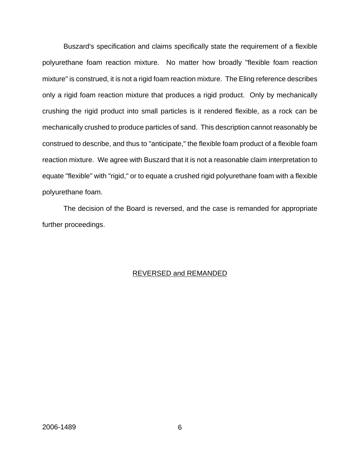Buszard's specification and claims specifically state the requirement of a flexible polyurethane foam reaction mixture. No matter how broadly "flexible foam reaction mixture" is construed, it is not a rigid foam reaction mixture. The Eling reference describes only a rigid foam reaction mixture that produces a rigid product. Only by mechanically crushing the rigid product into small particles is it rendered flexible, as a rock can be mechanically crushed to produce particles of sand. This description cannot reasonably be construed to describe, and thus to "anticipate," the flexible foam product of a flexible foam reaction mixture. We agree with Buszard that it is not a reasonable claim interpretation to equate "flexible" with "rigid," or to equate a crushed rigid polyurethane foam with a flexible polyurethane foam.

The decision of the Board is reversed, and the case is remanded for appropriate further proceedings.

## REVERSED and REMANDED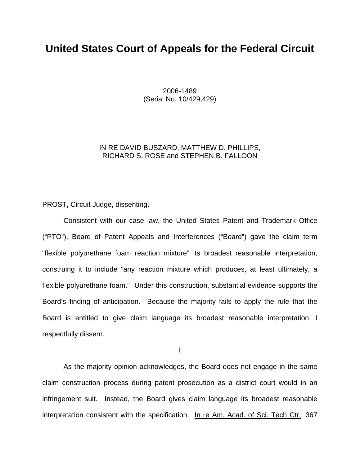## **United States Court of Appeals for the Federal Circuit**

2006-1489 (Serial No. 10/429,429)

### IN RE DAVID BUSZARD, MATTHEW D. PHILLIPS, RICHARD S. ROSE and STEPHEN B. FALLOON

### PROST, Circuit Judge, dissenting.

 Consistent with our case law, the United States Patent and Trademark Office ("PTO"), Board of Patent Appeals and Interferences ("Board") gave the claim term "flexible polyurethane foam reaction mixture" its broadest reasonable interpretation, construing it to include "any reaction mixture which produces, at least ultimately, a flexible polyurethane foam." Under this construction, substantial evidence supports the Board's finding of anticipation. Because the majority fails to apply the rule that the Board is entitled to give claim language its broadest reasonable interpretation, I respectfully dissent.

I

 As the majority opinion acknowledges, the Board does not engage in the same claim construction process during patent prosecution as a district court would in an infringement suit. Instead, the Board gives claim language its broadest reasonable interpretation consistent with the specification. In re Am. Acad. of Sci. Tech Ctr., 367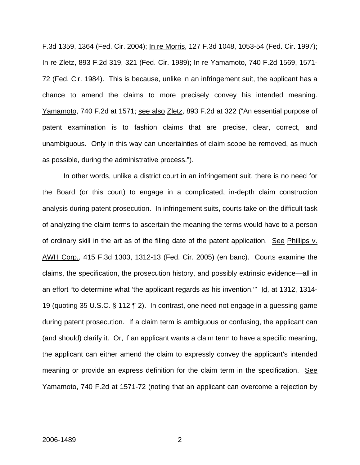F.3d 1359, 1364 (Fed. Cir. 2004); In re Morris, 127 F.3d 1048, 1053-54 (Fed. Cir. 1997); In re Zletz, 893 F.2d 319, 321 (Fed. Cir. 1989); In re Yamamoto, 740 F.2d 1569, 1571- 72 (Fed. Cir. 1984). This is because, unlike in an infringement suit, the applicant has a chance to amend the claims to more precisely convey his intended meaning. Yamamoto, 740 F.2d at 1571; see also Zletz, 893 F.2d at 322 ("An essential purpose of patent examination is to fashion claims that are precise, clear, correct, and unambiguous. Only in this way can uncertainties of claim scope be removed, as much as possible, during the administrative process.").

 In other words, unlike a district court in an infringement suit, there is no need for the Board (or this court) to engage in a complicated, in-depth claim construction analysis during patent prosecution. In infringement suits, courts take on the difficult task of analyzing the claim terms to ascertain the meaning the terms would have to a person of ordinary skill in the art as of the filing date of the patent application. See Phillips v. AWH Corp., 415 F.3d 1303, 1312-13 (Fed. Cir. 2005) (en banc). Courts examine the claims, the specification, the prosecution history, and possibly extrinsic evidence—all in an effort "to determine what 'the applicant regards as his invention.'" Id. at 1312, 1314- 19 (quoting 35 U.S.C. § 112 ¶ 2). In contrast, one need not engage in a guessing game during patent prosecution. If a claim term is ambiguous or confusing, the applicant can (and should) clarify it. Or, if an applicant wants a claim term to have a specific meaning, the applicant can either amend the claim to expressly convey the applicant's intended meaning or provide an express definition for the claim term in the specification. See Yamamoto, 740 F.2d at 1571-72 (noting that an applicant can overcome a rejection by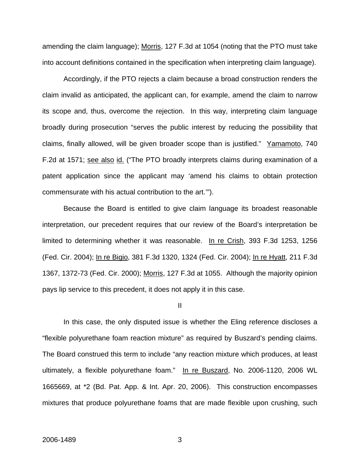amending the claim language); Morris, 127 F.3d at 1054 (noting that the PTO must take into account definitions contained in the specification when interpreting claim language).

Accordingly, if the PTO rejects a claim because a broad construction renders the claim invalid as anticipated, the applicant can, for example, amend the claim to narrow its scope and, thus, overcome the rejection. In this way, interpreting claim language broadly during prosecution "serves the public interest by reducing the possibility that claims, finally allowed, will be given broader scope than is justified." Yamamoto, 740 F.2d at 1571; see also id. ("The PTO broadly interprets claims during examination of a patent application since the applicant may 'amend his claims to obtain protection commensurate with his actual contribution to the art.'").

Because the Board is entitled to give claim language its broadest reasonable interpretation, our precedent requires that our review of the Board's interpretation be limited to determining whether it was reasonable. In re Crish, 393 F.3d 1253, 1256 (Fed. Cir. 2004); In re Bigio, 381 F.3d 1320, 1324 (Fed. Cir. 2004); In re Hyatt, 211 F.3d 1367, 1372-73 (Fed. Cir. 2000); Morris, 127 F.3d at 1055. Although the majority opinion pays lip service to this precedent, it does not apply it in this case.

II

In this case, the only disputed issue is whether the Eling reference discloses a "flexible polyurethane foam reaction mixture" as required by Buszard's pending claims. The Board construed this term to include "any reaction mixture which produces, at least ultimately, a flexible polyurethane foam." In re Buszard, No. 2006-1120, 2006 WL 1665669, at \*2 (Bd. Pat. App. & Int. Apr. 20, 2006). This construction encompasses mixtures that produce polyurethane foams that are made flexible upon crushing, such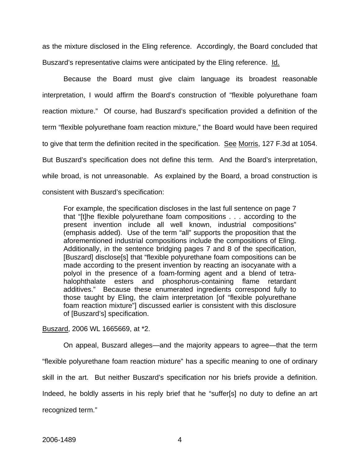as the mixture disclosed in the Eling reference. Accordingly, the Board concluded that Buszard's representative claims were anticipated by the Eling reference. Id.

Because the Board must give claim language its broadest reasonable interpretation, I would affirm the Board's construction of "flexible polyurethane foam reaction mixture." Of course, had Buszard's specification provided a definition of the term "flexible polyurethane foam reaction mixture," the Board would have been required to give that term the definition recited in the specification. See Morris, 127 F.3d at 1054. But Buszard's specification does not define this term. And the Board's interpretation, while broad, is not unreasonable. As explained by the Board, a broad construction is consistent with Buszard's specification:

For example, the specification discloses in the last full sentence on page 7 that "[t]he flexible polyurethane foam compositions . . . according to the present invention include all well known, industrial compositions" (emphasis added). Use of the term "all" supports the proposition that the aforementioned industrial compositions include the compositions of Eling. Additionally, in the sentence bridging pages 7 and 8 of the specification, [Buszard] disclose[s] that "flexible polyurethane foam compositions can be made according to the present invention by reacting an isocyanate with a polyol in the presence of a foam-forming agent and a blend of tetrahalophthalate esters and phosphorus-containing flame retardant additives." Because these enumerated ingredients correspond fully to those taught by Eling, the claim interpretation [of "flexible polyurethane foam reaction mixture"] discussed earlier is consistent with this disclosure of [Buszard's] specification.

Buszard, 2006 WL 1665669, at \*2.

On appeal, Buszard alleges—and the majority appears to agree—that the term "flexible polyurethane foam reaction mixture" has a specific meaning to one of ordinary skill in the art. But neither Buszard's specification nor his briefs provide a definition. Indeed, he boldly asserts in his reply brief that he "suffer[s] no duty to define an art recognized term."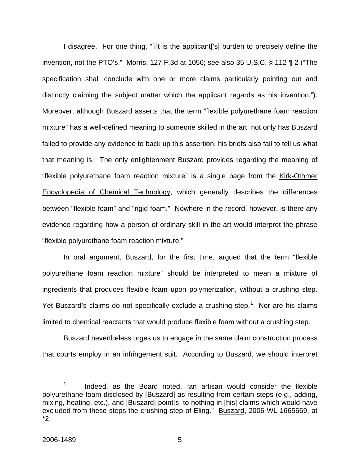I disagree. For one thing, "[i]t is the applicant['s] burden to precisely define the invention, not the PTO's." Morris, 127 F.3d at 1056; see also 35 U.S.C. § 112 ¶ 2 ("The specification shall conclude with one or more claims particularly pointing out and distinctly claiming the subject matter which the applicant regards as his invention."). Moreover, although Buszard asserts that the term "flexible polyurethane foam reaction mixture" has a well-defined meaning to someone skilled in the art, not only has Buszard failed to provide any evidence to back up this assertion, his briefs also fail to tell us what that meaning is. The only enlightenment Buszard provides regarding the meaning of "flexible polyurethane foam reaction mixture" is a single page from the Kirk-Othmer Encyclopedia of Chemical Technology, which generally describes the differences between "flexible foam" and "rigid foam." Nowhere in the record, however, is there any evidence regarding how a person of ordinary skill in the art would interpret the phrase "flexible polyurethane foam reaction mixture."

 In oral argument, Buszard, for the first time, argued that the term "flexible polyurethane foam reaction mixture" should be interpreted to mean a mixture of ingredients that produces flexible foam upon polymerization, without a crushing step. Yet Buszard's claims do not specifically exclude a crushing step.<sup>[1](#page-11-0)</sup> Nor are his claims limited to chemical reactants that would produce flexible foam without a crushing step.

Buszard nevertheless urges us to engage in the same claim construction process that courts employ in an infringement suit. According to Buszard, we should interpret

<span id="page-11-0"></span> <sup>1</sup> Indeed, as the Board noted, "an artisan would consider the flexible polyurethane foam disclosed by [Buszard] as resulting from certain steps (e.g., adding, mixing, heating, etc.), and [Buszard] point[s] to nothing in [his] claims which would have excluded from these steps the crushing step of Eling." Buszard, 2006 WL 1665669, at \*2.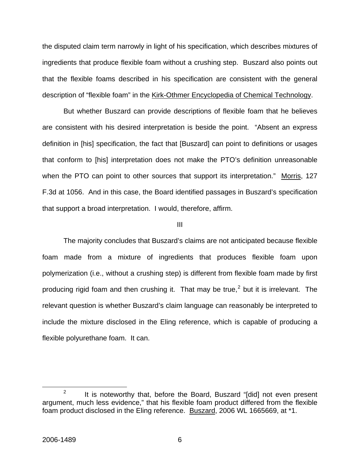the disputed claim term narrowly in light of his specification, which describes mixtures of ingredients that produce flexible foam without a crushing step. Buszard also points out that the flexible foams described in his specification are consistent with the general description of "flexible foam" in the Kirk-Othmer Encyclopedia of Chemical Technology.

 But whether Buszard can provide descriptions of flexible foam that he believes are consistent with his desired interpretation is beside the point. "Absent an express definition in [his] specification, the fact that [Buszard] can point to definitions or usages that conform to [his] interpretation does not make the PTO's definition unreasonable when the PTO can point to other sources that support its interpretation." Morris, 127 F.3d at 1056. And in this case, the Board identified passages in Buszard's specification that support a broad interpretation. I would, therefore, affirm.

#### III

The majority concludes that Buszard's claims are not anticipated because flexible foam made from a mixture of ingredients that produces flexible foam upon polymerization (i.e., without a crushing step) is different from flexible foam made by first producing rigid foam and then crushing it. That may be true,<sup>[2](#page-12-0)</sup> but it is irrelevant. The relevant question is whether Buszard's claim language can reasonably be interpreted to include the mixture disclosed in the Eling reference, which is capable of producing a flexible polyurethane foam. It can.

<span id="page-12-0"></span> $\frac{1}{2}$  $12$  It is noteworthy that, before the Board, Buszard "[did] not even present argument, much less evidence," that his flexible foam product differed from the flexible foam product disclosed in the Eling reference. Buszard, 2006 WL 1665669, at \*1.